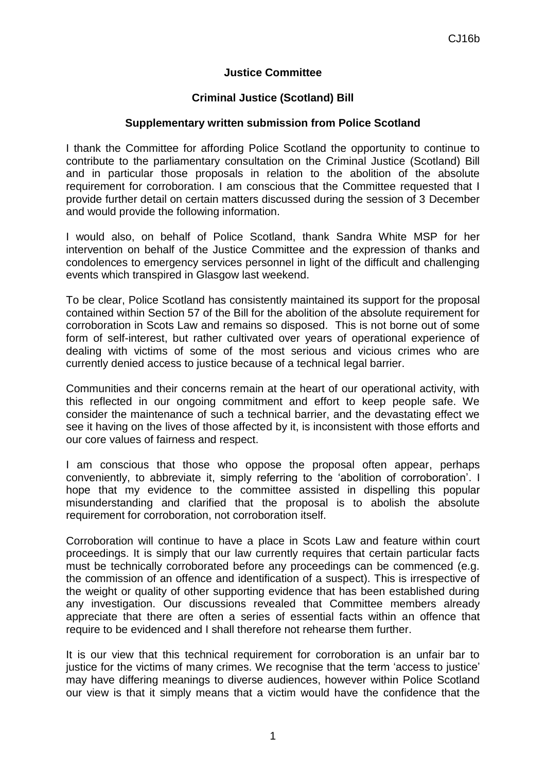## **Justice Committee**

# **Criminal Justice (Scotland) Bill**

## **Supplementary written submission from Police Scotland**

I thank the Committee for affording Police Scotland the opportunity to continue to contribute to the parliamentary consultation on the Criminal Justice (Scotland) Bill and in particular those proposals in relation to the abolition of the absolute requirement for corroboration. I am conscious that the Committee requested that I provide further detail on certain matters discussed during the session of 3 December and would provide the following information.

I would also, on behalf of Police Scotland, thank Sandra White MSP for her intervention on behalf of the Justice Committee and the expression of thanks and condolences to emergency services personnel in light of the difficult and challenging events which transpired in Glasgow last weekend.

To be clear, Police Scotland has consistently maintained its support for the proposal contained within Section 57 of the Bill for the abolition of the absolute requirement for corroboration in Scots Law and remains so disposed. This is not borne out of some form of self-interest, but rather cultivated over years of operational experience of dealing with victims of some of the most serious and vicious crimes who are currently denied access to justice because of a technical legal barrier.

Communities and their concerns remain at the heart of our operational activity, with this reflected in our ongoing commitment and effort to keep people safe. We consider the maintenance of such a technical barrier, and the devastating effect we see it having on the lives of those affected by it, is inconsistent with those efforts and our core values of fairness and respect.

I am conscious that those who oppose the proposal often appear, perhaps conveniently, to abbreviate it, simply referring to the 'abolition of corroboration'. I hope that my evidence to the committee assisted in dispelling this popular misunderstanding and clarified that the proposal is to abolish the absolute requirement for corroboration, not corroboration itself.

Corroboration will continue to have a place in Scots Law and feature within court proceedings. It is simply that our law currently requires that certain particular facts must be technically corroborated before any proceedings can be commenced (e.g. the commission of an offence and identification of a suspect). This is irrespective of the weight or quality of other supporting evidence that has been established during any investigation. Our discussions revealed that Committee members already appreciate that there are often a series of essential facts within an offence that require to be evidenced and I shall therefore not rehearse them further.

It is our view that this technical requirement for corroboration is an unfair bar to justice for the victims of many crimes. We recognise that the term 'access to justice' may have differing meanings to diverse audiences, however within Police Scotland our view is that it simply means that a victim would have the confidence that the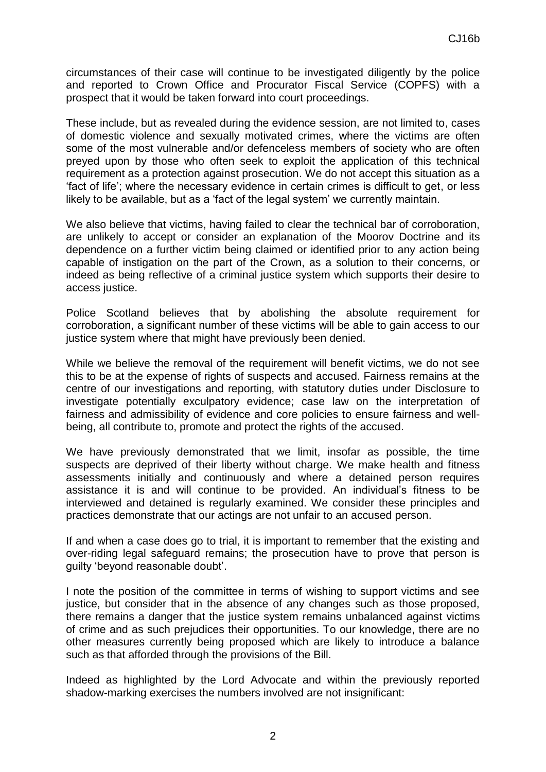circumstances of their case will continue to be investigated diligently by the police and reported to Crown Office and Procurator Fiscal Service (COPFS) with a prospect that it would be taken forward into court proceedings.

These include, but as revealed during the evidence session, are not limited to, cases of domestic violence and sexually motivated crimes, where the victims are often some of the most vulnerable and/or defenceless members of society who are often preyed upon by those who often seek to exploit the application of this technical requirement as a protection against prosecution. We do not accept this situation as a 'fact of life'; where the necessary evidence in certain crimes is difficult to get, or less likely to be available, but as a 'fact of the legal system' we currently maintain.

We also believe that victims, having failed to clear the technical bar of corroboration, are unlikely to accept or consider an explanation of the Moorov Doctrine and its dependence on a further victim being claimed or identified prior to any action being capable of instigation on the part of the Crown, as a solution to their concerns, or indeed as being reflective of a criminal justice system which supports their desire to access justice.

Police Scotland believes that by abolishing the absolute requirement for corroboration, a significant number of these victims will be able to gain access to our justice system where that might have previously been denied.

While we believe the removal of the requirement will benefit victims, we do not see this to be at the expense of rights of suspects and accused. Fairness remains at the centre of our investigations and reporting, with statutory duties under Disclosure to investigate potentially exculpatory evidence; case law on the interpretation of fairness and admissibility of evidence and core policies to ensure fairness and wellbeing, all contribute to, promote and protect the rights of the accused.

We have previously demonstrated that we limit, insofar as possible, the time suspects are deprived of their liberty without charge. We make health and fitness assessments initially and continuously and where a detained person requires assistance it is and will continue to be provided. An individual's fitness to be interviewed and detained is regularly examined. We consider these principles and practices demonstrate that our actings are not unfair to an accused person.

If and when a case does go to trial, it is important to remember that the existing and over-riding legal safeguard remains; the prosecution have to prove that person is guilty 'beyond reasonable doubt'.

I note the position of the committee in terms of wishing to support victims and see justice, but consider that in the absence of any changes such as those proposed, there remains a danger that the justice system remains unbalanced against victims of crime and as such prejudices their opportunities. To our knowledge, there are no other measures currently being proposed which are likely to introduce a balance such as that afforded through the provisions of the Bill.

Indeed as highlighted by the Lord Advocate and within the previously reported shadow-marking exercises the numbers involved are not insignificant: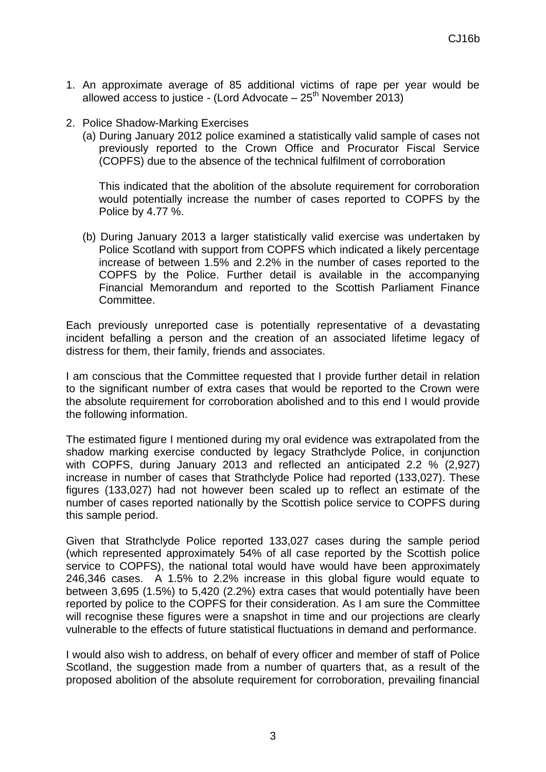- 1. An approximate average of 85 additional victims of rape per year would be allowed access to justice - (Lord Advocate –  $25<sup>th</sup>$  November 2013)
- 2. Police Shadow-Marking Exercises
	- (a) During January 2012 police examined a statistically valid sample of cases not previously reported to the Crown Office and Procurator Fiscal Service (COPFS) due to the absence of the technical fulfilment of corroboration

This indicated that the abolition of the absolute requirement for corroboration would potentially increase the number of cases reported to COPFS by the Police by 4.77 %.

(b) During January 2013 a larger statistically valid exercise was undertaken by Police Scotland with support from COPFS which indicated a likely percentage increase of between 1.5% and 2.2% in the number of cases reported to the COPFS by the Police. Further detail is available in the accompanying Financial Memorandum and reported to the Scottish Parliament Finance Committee.

Each previously unreported case is potentially representative of a devastating incident befalling a person and the creation of an associated lifetime legacy of distress for them, their family, friends and associates.

I am conscious that the Committee requested that I provide further detail in relation to the significant number of extra cases that would be reported to the Crown were the absolute requirement for corroboration abolished and to this end I would provide the following information.

The estimated figure I mentioned during my oral evidence was extrapolated from the shadow marking exercise conducted by legacy Strathclyde Police, in conjunction with COPFS, during January 2013 and reflected an anticipated 2.2 % (2,927) increase in number of cases that Strathclyde Police had reported (133,027). These figures (133,027) had not however been scaled up to reflect an estimate of the number of cases reported nationally by the Scottish police service to COPFS during this sample period.

Given that Strathclyde Police reported 133,027 cases during the sample period (which represented approximately 54% of all case reported by the Scottish police service to COPFS), the national total would have would have been approximately 246,346 cases. A 1.5% to 2.2% increase in this global figure would equate to between 3,695 (1.5%) to 5,420 (2.2%) extra cases that would potentially have been reported by police to the COPFS for their consideration. As I am sure the Committee will recognise these figures were a snapshot in time and our projections are clearly vulnerable to the effects of future statistical fluctuations in demand and performance.

I would also wish to address, on behalf of every officer and member of staff of Police Scotland, the suggestion made from a number of quarters that, as a result of the proposed abolition of the absolute requirement for corroboration, prevailing financial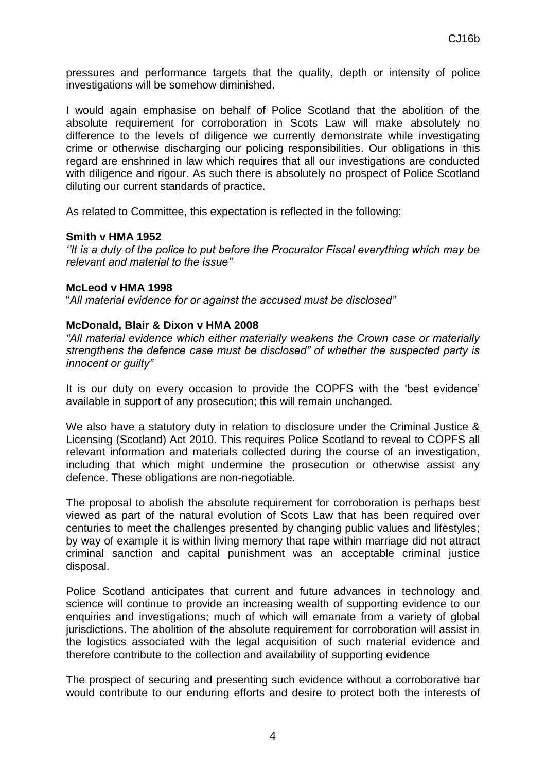pressures and performance targets that the quality, depth or intensity of police investigations will be somehow diminished.

I would again emphasise on behalf of Police Scotland that the abolition of the absolute requirement for corroboration in Scots Law will make absolutely no difference to the levels of diligence we currently demonstrate while investigating crime or otherwise discharging our policing responsibilities. Our obligations in this regard are enshrined in law which requires that all our investigations are conducted with diligence and rigour. As such there is absolutely no prospect of Police Scotland diluting our current standards of practice.

As related to Committee, this expectation is reflected in the following:

#### **Smith v HMA 1952**

*''It is a duty of the police to put before the Procurator Fiscal everything which may be relevant and material to the issue''*

#### **McLeod v HMA 1998**

"*All material evidence for or against the accused must be disclosed"*

## **McDonald, Blair & Dixon v HMA 2008**

*"All material evidence which either materially weakens the Crown case or materially strengthens the defence case must be disclosed" of whether the suspected party is innocent or guilty"*

It is our duty on every occasion to provide the COPFS with the 'best evidence' available in support of any prosecution; this will remain unchanged.

We also have a statutory duty in relation to disclosure under the Criminal Justice & Licensing (Scotland) Act 2010. This requires Police Scotland to reveal to COPFS all relevant information and materials collected during the course of an investigation, including that which might undermine the prosecution or otherwise assist any defence. These obligations are non-negotiable.

The proposal to abolish the absolute requirement for corroboration is perhaps best viewed as part of the natural evolution of Scots Law that has been required over centuries to meet the challenges presented by changing public values and lifestyles; by way of example it is within living memory that rape within marriage did not attract criminal sanction and capital punishment was an acceptable criminal justice disposal.

Police Scotland anticipates that current and future advances in technology and science will continue to provide an increasing wealth of supporting evidence to our enquiries and investigations; much of which will emanate from a variety of global jurisdictions. The abolition of the absolute requirement for corroboration will assist in the logistics associated with the legal acquisition of such material evidence and therefore contribute to the collection and availability of supporting evidence

The prospect of securing and presenting such evidence without a corroborative bar would contribute to our enduring efforts and desire to protect both the interests of